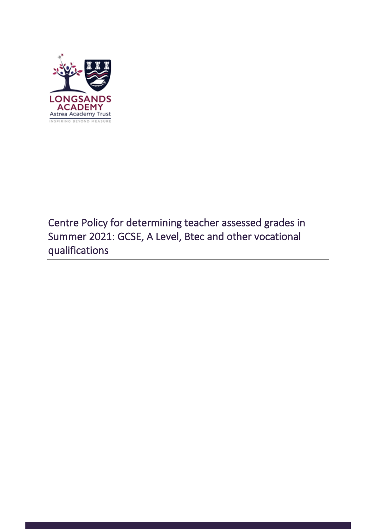

# Centre Policy for determining teacher assessed grades in Summer 2021: GCSE, A Level, Btec and other vocational qualifications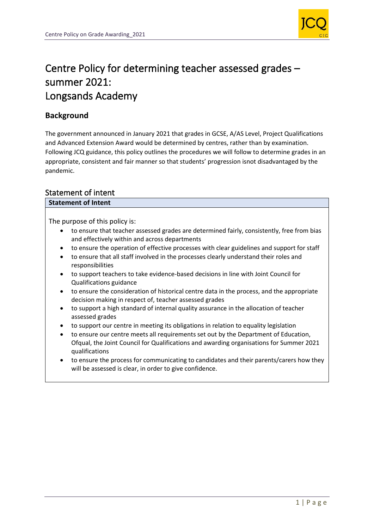

# Centre Policy for determining teacher assessed grades – summer 2021: Longsands Academy

### **Background**

The government announced in January 2021 that grades in GCSE, A/AS Level, Project Qualifications and Advanced Extension Award would be determined by centres, rather than by examination. Following JCQ guidance, this policy outlines the procedures we will follow to determine grades in an appropriate, consistent and fair manner so that students' progression isnot disadvantaged by the pandemic.

### Statement of intent

### **Statement of Intent**

The purpose of this policy is:

- to ensure that teacher assessed grades are determined fairly, consistently, free from bias and effectively within and across departments
- to ensure the operation of effective processes with clear guidelines and support for staff
- to ensure that all staff involved in the processes clearly understand their roles and responsibilities
- to support teachers to take evidence-based decisions in line with Joint Council for Qualifications guidance
- to ensure the consideration of historical centre data in the process, and the appropriate decision making in respect of, teacher assessed grades
- to support a high standard of internal quality assurance in the allocation of teacher assessed grades
- to support our centre in meeting its obligations in relation to equality legislation
- to ensure our centre meets all requirements set out by the Department of Education, Ofqual, the Joint Council for Qualifications and awarding organisations for Summer 2021 qualifications
- to ensure the process for communicating to candidates and their parents/carers how they will be assessed is clear, in order to give confidence.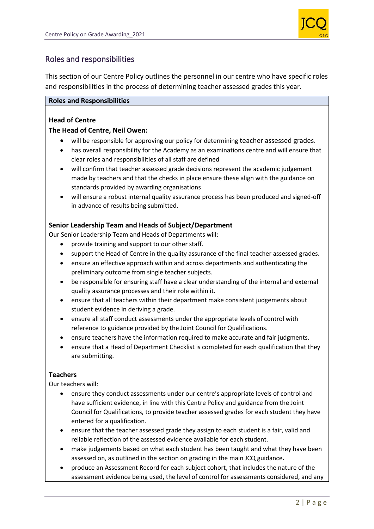

### Roles and responsibilities

This section of our Centre Policy outlines the personnel in our centre who have specific roles and responsibilities in the process of determining teacher assessed grades this year.

### **Roles and Responsibilities**

### **Head of Centre**

### **The Head of Centre, Neil Owen:**

- will be responsible for approving our policy for determining teacher assessed grades.
- has overall responsibility for the Academy as an examinations centre and will ensure that clear roles and responsibilities of all staff are defined
- will confirm that teacher assessed grade decisions represent the academic judgement made by teachers and that the checks in place ensure these align with the guidance on standards provided by awarding organisations
- will ensure a robust internal quality assurance process has been produced and signed-off in advance of results being submitted.

### **Senior Leadership Team and Heads of Subject/Department**

Our Senior Leadership Team and Heads of Departments will:

- provide training and support to our other staff.
- support the Head of Centre in the quality assurance of the final teacher assessed grades.
- ensure an effective approach within and across departments and authenticating the preliminary outcome from single teacher subjects.
- be responsible for ensuring staff have a clear understanding of the internal and external quality assurance processes and their role within it.
- ensure that all teachers within their department make consistent judgements about student evidence in deriving a grade.
- ensure all staff conduct assessments under the appropriate levels of control with reference to guidance provided by the Joint Council for Qualifications.
- ensure teachers have the information required to make accurate and fair judgments.
- ensure that a Head of Department Checklist is completed for each qualification that they are submitting.

#### **Teachers**

Our teachers will:

- ensure they conduct assessments under our centre's appropriate levels of control and have sufficient evidence, in line with this Centre Policy and guidance from the Joint Council for Qualifications, to provide teacher assessed grades for each student they have entered for a qualification.
- ensure that the teacher assessed grade they assign to each student is a fair, valid and reliable reflection of the assessed evidence available for each student.
- make judgements based on what each student has been taught and what they have been assessed on, as outlined in the section on grading in the main JCQ guidance**.**
- produce an Assessment Record for each subject cohort, that includes the nature of the assessment evidence being used, the level of control for assessments considered, and any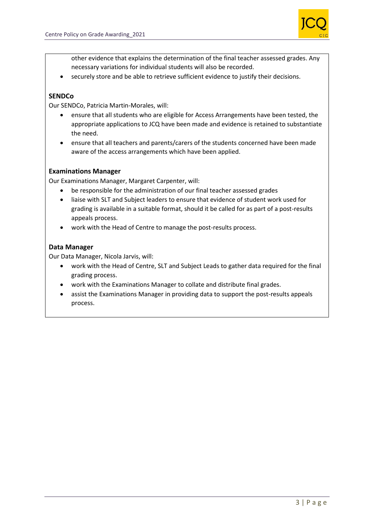

other evidence that explains the determination of the final teacher assessed grades. Any necessary variations for individual students will also be recorded.

• securely store and be able to retrieve sufficient evidence to justify their decisions.

### **SENDCo**

Our SENDCo, Patricia Martin-Morales, will:

- ensure that all students who are eligible for Access Arrangements have been tested, the appropriate applications to JCQ have been made and evidence is retained to substantiate the need.
- ensure that all teachers and parents/carers of the students concerned have been made aware of the access arrangements which have been applied.

#### **Examinations Manager**

Our Examinations Manager, Margaret Carpenter, will:

- be responsible for the administration of our final teacher assessed grades
- liaise with SLT and Subject leaders to ensure that evidence of student work used for grading is available in a suitable format, should it be called for as part of a post-results appeals process.
- work with the Head of Centre to manage the post-results process.

### **Data Manager**

Our Data Manager, Nicola Jarvis, will:

- work with the Head of Centre, SLT and Subject Leads to gather data required for the final grading process.
- work with the Examinations Manager to collate and distribute final grades.
- assist the Examinations Manager in providing data to support the post-results appeals process.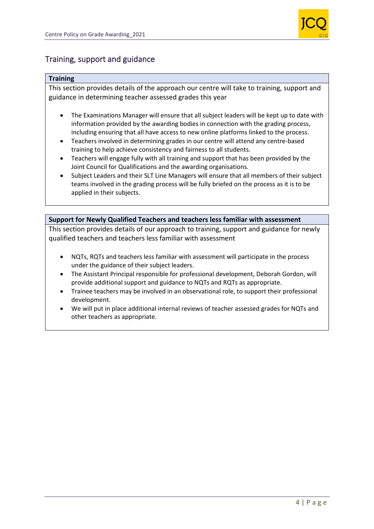

### Training, support and guidance

#### **Training**

This section provides details of the approach our centre will take to training, support and guidance in determining teacher assessed grades this year

- The Examinations Manager will ensure that all subject leaders will be kept up to date with information provided by the awarding bodies in connection with the grading process, including ensuring that all have access to new online platforms linked to the process.
- Teachers involved in determining grades in our centre will attend any centre-based training to help achieve consistency and fairness to all students.
- Teachers will engage fully with all training and support that has been provided by the Joint Council for Qualifications and the awarding organisations*.*
- Subject Leaders and their SLT Line Managers will ensure that all members of their subject teams involved in the grading process will be fully briefed on the process as it is to be applied in their subjects.

**Support for Newly Qualified Teachers and teachers less familiar with assessment**  This section provides details of our approach to training, support and guidance for newly qualified teachers and teachers less familiar with assessment

- NQTs, RQTs and teachers less familiar with assessment will participate in the process under the guidance of their subject leaders.
- The Assistant Principal responsible for professional development, Deborah Gordon, will provide additional support and guidance to NQTs and RQTs as appropriate.
- Trainee teachers may be involved in an observational role, to support their professional development.
- We will put in place additional internal reviews of teacher assessed grades for NQTs and other teachers as appropriate.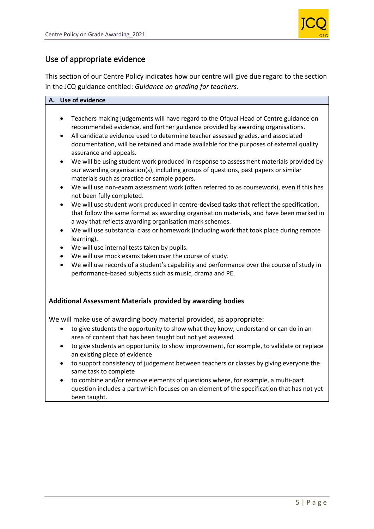![](_page_5_Picture_1.jpeg)

# Use of appropriate evidence

This section of our Centre Policy indicates how our centre will give due regard to the section in the JCQ guidance entitled: *Guidance on grading for teachers*.

### **A. Use of evidence**

- Teachers making judgements will have regard to the Ofqual Head of Centre guidance on recommended evidence, and further guidance provided by awarding organisations.
- All candidate evidence used to determine teacher assessed grades, and associated documentation, will be retained and made available for the purposes of external quality assurance and appeals.
- We will be using student work produced in response to assessment materials provided by our awarding organisation(s), including groups of questions, past papers or similar materials such as practice or sample papers.
- We will use non-exam assessment work (often referred to as coursework), even if this has not been fully completed.
- We will use student work produced in centre-devised tasks that reflect the specification, that follow the same format as awarding organisation materials, and have been marked in a way that reflects awarding organisation mark schemes.
- We will use substantial class or homework (including work that took place during remote learning).
- We will use internal tests taken by pupils.
- We will use mock exams taken over the course of study.
- We will use records of a student's capability and performance over the course of study in performance-based subjects such as music, drama and PE.

### **Additional Assessment Materials provided by awarding bodies**

We will make use of awarding body material provided, as appropriate:

- to give students the opportunity to show what they know, understand or can do in an area of content that has been taught but not yet assessed
- to give students an opportunity to show improvement, for example, to validate or replace an existing piece of evidence
- to support consistency of judgement between teachers or classes by giving everyone the same task to complete
- to combine and/or remove elements of questions where, for example, a multi-part question includes a part which focuses on an element of the specification that has not yet been taught.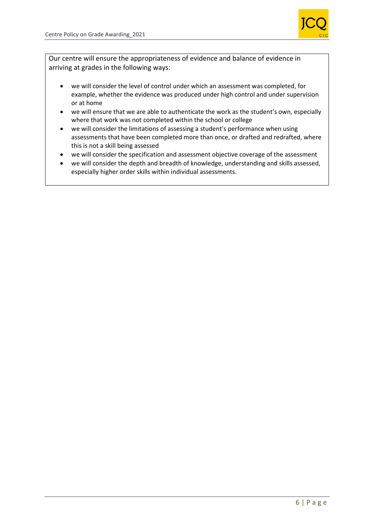![](_page_6_Picture_1.jpeg)

Our centre will ensure the appropriateness of evidence and balance of evidence in arriving at grades in the following ways:

- we will consider the level of control under which an assessment was completed, for example, whether the evidence was produced under high control and under supervision or at home
- we will ensure that we are able to authenticate the work as the student's own, especially where that work was not completed within the school or college
- we will consider the limitations of assessing a student's performance when using assessments that have been completed more than once, or drafted and redrafted, where this is not a skill being assessed
- we will consider the specification and assessment objective coverage of the assessment
- we will consider the depth and breadth of knowledge, understanding and skills assessed, especially higher order skills within individual assessments.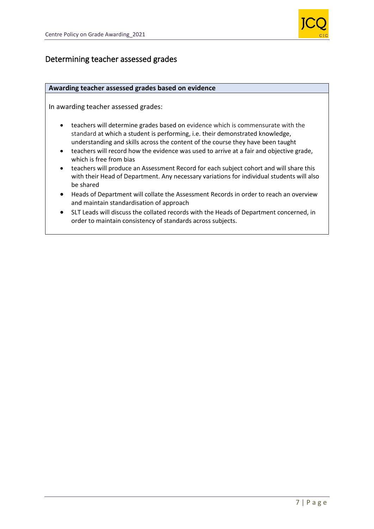![](_page_7_Picture_1.jpeg)

# Determining teacher assessed grades

#### **Awarding teacher assessed grades based on evidence**

In awarding teacher assessed grades:

- teachers will determine grades based on evidence which is commensurate with the standard at which a student is performing, i.e. their demonstrated knowledge, understanding and skills across the content of the course they have been taught
- teachers will record how the evidence was used to arrive at a fair and objective grade, which is free from bias
- teachers will produce an Assessment Record for each subject cohort and will share this with their Head of Department. Any necessary variations for individual students will also be shared
- Heads of Department will collate the Assessment Records in order to reach an overview and maintain standardisation of approach
- SLT Leads will discuss the collated records with the Heads of Department concerned, in order to maintain consistency of standards across subjects.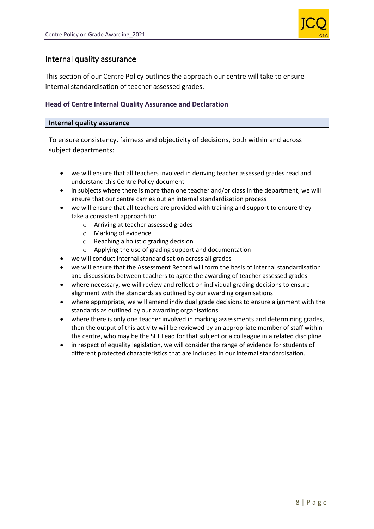![](_page_8_Picture_1.jpeg)

### Internal quality assurance

This section of our Centre Policy outlines the approach our centre will take to ensure internal standardisation of teacher assessed grades.

### **Head of Centre Internal Quality Assurance and Declaration**

#### **Internal quality assurance**

To ensure consistency, fairness and objectivity of decisions, both within and across subject departments:

- we will ensure that all teachers involved in deriving teacher assessed grades read and understand this Centre Policy document
- in subjects where there is more than one teacher and/or class in the department, we will ensure that our centre carries out an internal standardisation process
- we will ensure that all teachers are provided with training and support to ensure they take a consistent approach to:
	- o Arriving at teacher assessed grades
	- o Marking of evidence
	- o Reaching a holistic grading decision
	- o Applying the use of grading support and documentation
- we will conduct internal standardisation across all grades
- we will ensure that the Assessment Record will form the basis of internal standardisation and discussions between teachers to agree the awarding of teacher assessed grades
- where necessary, we will review and reflect on individual grading decisions to ensure alignment with the standards as outlined by our awarding organisations
- where appropriate, we will amend individual grade decisions to ensure alignment with the standards as outlined by our awarding organisations
- where there is only one teacher involved in marking assessments and determining grades, then the output of this activity will be reviewed by an appropriate member of staff within the centre, who may be the SLT Lead for that subject or a colleague in a related discipline
- in respect of equality legislation, we will consider the range of evidence for students of different protected characteristics that are included in our internal standardisation.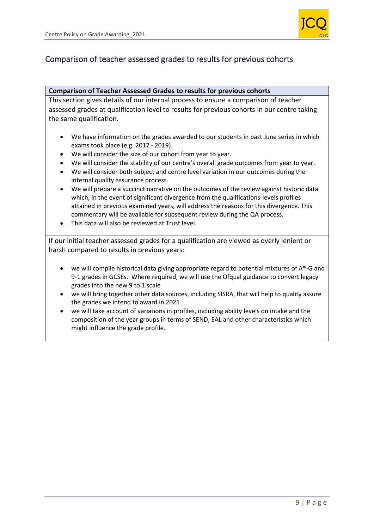![](_page_9_Picture_1.jpeg)

# Comparison of teacher assessed grades to results for previous cohorts

#### **Comparison of Teacher Assessed Grades to results for previous cohorts**

This section gives details of our internal process to ensure a comparison of teacher assessed grades at qualification level to results for previous cohorts in our centre taking the same qualification.

- We have information on the grades awarded to our students in past June series in which exams took place (e.g. 2017 - 2019).
- We will consider the size of our cohort from year to year.
- We will consider the stability of our centre's overall grade outcomes from year to year.
- We will consider both subject and centre level variation in our outcomes during the internal quality assurance process.
- We will prepare a succinct narrative on the outcomes of the review against historic data which, in the event of significant divergence from the qualifications-levels profiles attained in previous examined years, will address the reasons for this divergence. This commentary will be available for subsequent review during the QA process.
- This data will also be reviewed at Trust level.

If our initial teacher assessed grades for a qualification are viewed as overly lenient or harsh compared to results in previous years:

- we will compile historical data giving appropriate regard to potential mixtures of A\*-G and 9-1 grades in GCSEs. Where required, we will use the Ofqual guidance to convert legacy grades into the new 9 to 1 scale
- we will bring together other data sources, including SISRA, that will help to quality assure the grades we intend to award in 2021
- we will take account of variations in profiles, including ability levels on intake and the composition of the year groups in terms of SEND, EAL and other characteristics which might influence the grade profile.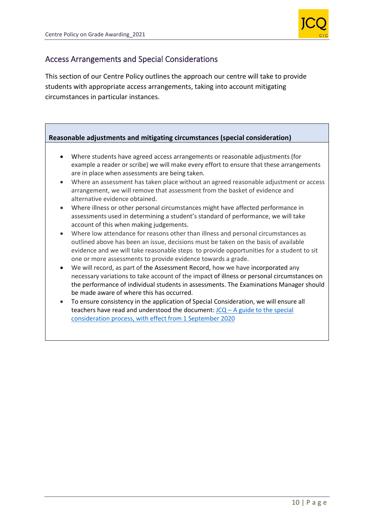![](_page_10_Picture_1.jpeg)

### Access Arrangements and Special Considerations

This section of our Centre Policy outlines the approach our centre will take to provide students with appropriate access arrangements, taking into account mitigating circumstances in particular instances.

### **Reasonable adjustments and mitigating circumstances (special consideration)**

- Where students have agreed access arrangements or reasonable adjustments (for example a reader or scribe) we will make every effort to ensure that these arrangements are in place when assessments are being taken.
- Where an assessment has taken place without an agreed reasonable adjustment or access arrangement, we will remove that assessment from the basket of evidence and alternative evidence obtained.
- Where illness or other personal circumstances might have affected performance in assessments used in determining a student's standard of performance, we will take account of this when making judgements.
- Where low attendance for reasons other than illness and personal circumstances as outlined above has been an issue, decisions must be taken on the basis of available evidence and we will take reasonable steps to provide opportunities for a student to sit one or more assessments to provide evidence towards a grade.
- We will record, as part of the Assessment Record, how we have incorporated any necessary variations to take account of the impact of illness or personal circumstances on the performance of individual students in assessments. The Examinations Manager should be made aware of where this has occurred.
- To ensure consistency in the application of Special Consideration, we will ensure all teachers have read and understood the document:  $JCQ - A$  guide to the special [consideration process, with effect from 1 September 2020](https://www.jcq.org.uk/wp-content/uploads/2020/08/A-guide-to-the-spec-con-process-202021-Website-version.pdf)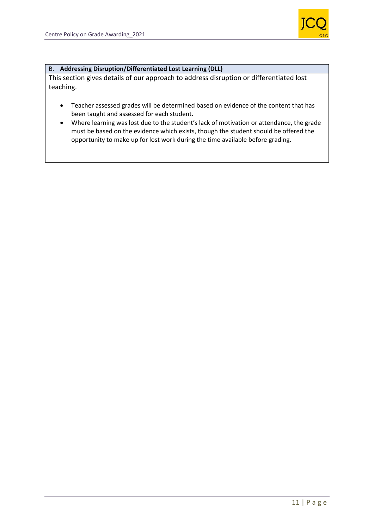![](_page_11_Picture_1.jpeg)

#### B. **Addressing Disruption/Differentiated Lost Learning (DLL)**

This section gives details of our approach to address disruption or differentiated lost teaching.

- Teacher assessed grades will be determined based on evidence of the content that has been taught and assessed for each student.
- Where learning was lost due to the student's lack of motivation or attendance, the grade must be based on the evidence which exists, though the student should be offered the opportunity to make up for lost work during the time available before grading.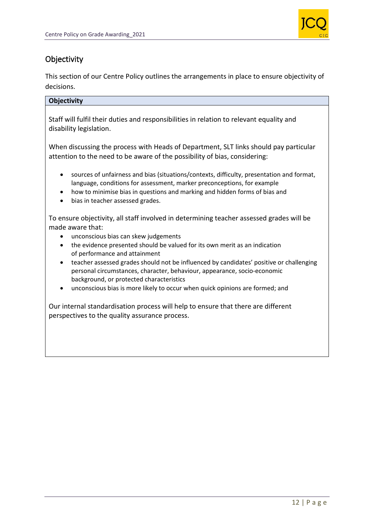![](_page_12_Picture_1.jpeg)

# **Objectivity**

This section of our Centre Policy outlines the arrangements in place to ensure objectivity of decisions.

### **Objectivity**

Staff will fulfil their duties and responsibilities in relation to relevant equality and disability legislation.

When discussing the process with Heads of Department, SLT links should pay particular attention to the need to be aware of the possibility of bias, considering:

- sources of unfairness and bias (situations/contexts, difficulty, presentation and format, language, conditions for assessment, marker preconceptions, for example
- how to minimise bias in questions and marking and hidden forms of bias and
- bias in teacher assessed grades.

To ensure objectivity, all staff involved in determining teacher assessed grades will be made aware that:

- unconscious bias can skew judgements
- the evidence presented should be valued for its own merit as an indication of performance and attainment
- teacher assessed grades should not be influenced by candidates' positive or challenging personal circumstances, character, behaviour, appearance, socio-economic background, or protected characteristics
- unconscious bias is more likely to occur when quick opinions are formed; and

Our internal standardisation process will help to ensure that there are different perspectives to the quality assurance process.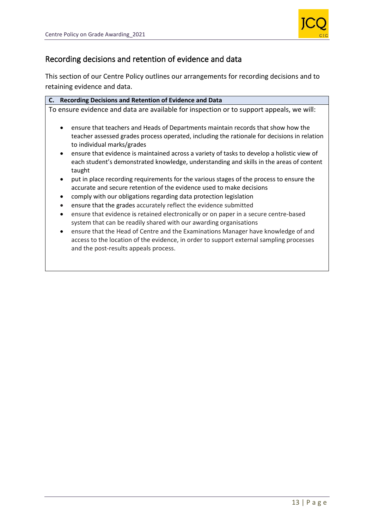![](_page_13_Picture_1.jpeg)

# Recording decisions and retention of evidence and data

This section of our Centre Policy outlines our arrangements for recording decisions and to retaining evidence and data.

| <b>Recording Decisions and Retention of Evidence and Data</b><br>C.                                                                                                                                                                |  |
|------------------------------------------------------------------------------------------------------------------------------------------------------------------------------------------------------------------------------------|--|
| To ensure evidence and data are available for inspection or to support appeals, we will:                                                                                                                                           |  |
| ensure that teachers and Heads of Departments maintain records that show how the<br>teacher assessed grades process operated, including the rationale for decisions in relation<br>to individual marks/grades                      |  |
| ensure that evidence is maintained across a variety of tasks to develop a holistic view of<br>$\bullet$<br>each student's demonstrated knowledge, understanding and skills in the areas of content<br>taught                       |  |
| put in place recording requirements for the various stages of the process to ensure the<br>accurate and secure retention of the evidence used to make decisions                                                                    |  |
| comply with our obligations regarding data protection legislation                                                                                                                                                                  |  |
| ensure that the grades accurately reflect the evidence submitted<br>$\bullet$                                                                                                                                                      |  |
| ensure that evidence is retained electronically or on paper in a secure centre-based<br>$\bullet$<br>system that can be readily shared with our awarding organisations                                                             |  |
| ensure that the Head of Centre and the Examinations Manager have knowledge of and<br>$\bullet$<br>access to the location of the evidence, in order to support external sampling processes<br>and the post-results appeals process. |  |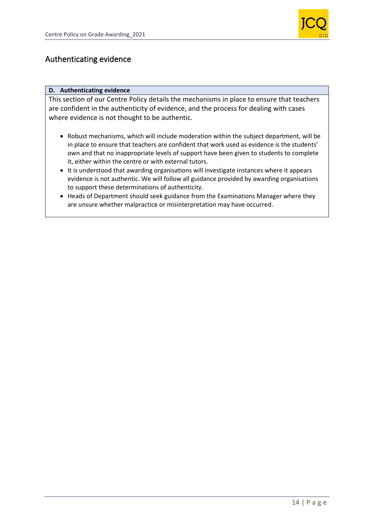![](_page_14_Picture_1.jpeg)

### Authenticating evidence

#### **D. Authenticating evidence**

This section of our Centre Policy details the mechanisms in place to ensure that teachers are confident in the authenticity of evidence, and the process for dealing with cases where evidence is not thought to be authentic.

- Robust mechanisms, which will include moderation within the subject department, will be in place to ensure that teachers are confident that work used as evidence is the students' own and that no inappropriate levels of support have been given to students to complete it, either within the centre or with external tutors.
- It is understood that awarding organisations will investigate instances where it appears evidence is not authentic. We will follow all guidance provided by awarding organisations to support these determinations of authenticity.
- Heads of Department should seek guidance from the Examinations Manager where they are unsure whether malpractice or misinterpretation may have occurred.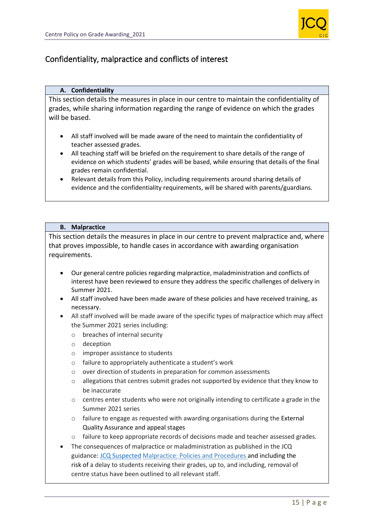![](_page_15_Picture_1.jpeg)

# Confidentiality, malpractice and conflicts of interest

#### **A. Confidentiality**

This section details the measures in place in our centre to maintain the confidentiality of grades, while sharing information regarding the range of evidence on which the grades will be based.

- All staff involved will be made aware of the need to maintain the confidentiality of teacher assessed grades.
- All teaching staff will be briefed on the requirement to share details of the range of evidence on which students' grades will be based, while ensuring that details of the final grades remain confidential.
- Relevant details from this Policy, including requirements around sharing details of evidence and the confidentiality requirements, will be shared with parents/guardians*.*

#### **B. Malpractice**

This section details the measures in place in our centre to prevent malpractice and, where that proves impossible, to handle cases in accordance with awarding organisation requirements.

- Our general centre policies regarding malpractice, maladministration and conflicts of interest have been reviewed to ensure they address the specific challenges of delivery in Summer 2021.
- All staff involved have been made aware of these policies and have received training, as necessary.
- All staff involved will be made aware of the specific types of malpractice which may affect the Summer 2021 series including:
	- o breaches of internal security
	- o deception
	- o improper assistance to students
	- o failure to appropriately authenticate a student's work
	- o over direction of students in preparation for common assessments
	- o allegations that centres submit grades not supported by evidence that they know to be inaccurate
	- $\circ$  centres enter students who were not originally intending to certificate a grade in the Summer 2021 series
	- o failure to engage as requested with awarding organisations during the External Quality Assurance and appeal stages
	- o failure to keep appropriate records of decisions made and teacher assessed grades.
- The consequences of malpractice or maladministration as published in the JCQ guidance: [JCQ Suspected](https://www.jcq.org.uk/exams-office/malpractice/jcq-suspected-malpractice-policies-and-procedures-2019-2020) Malpractice: Policies and Procedures and including the risk of a delay to students receiving their grades, up to, and including, removal of centre status have been outlined to all relevant staff.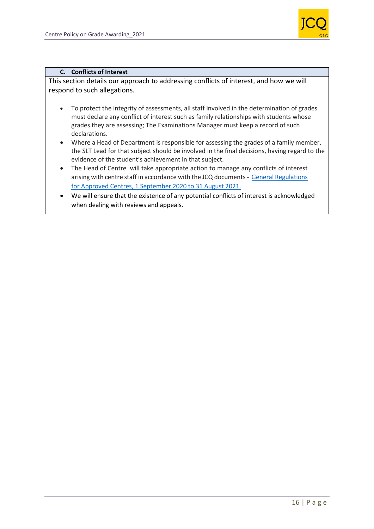![](_page_16_Picture_1.jpeg)

#### **C. Conflicts of Interest**

This section details our approach to addressing conflicts of interest, and how we will respond to such allegations.

- To protect the integrity of assessments, all staff involved in the determination of grades must declare any conflict of interest such as family relationships with students whose grades they are assessing; The Examinations Manager must keep a record of such declarations.
- Where a Head of Department is responsible for assessing the grades of a family member, the SLT Lead for that subject should be involved in the final decisions, having regard to the evidence of the student's achievement in that subject.
- The Head of Centre will take appropriate action to manage any conflicts of interest arising with centre staff in accordance with the JCQ documents- [General Regulations](https://www.jcq.org.uk/wp-content/uploads/2020/09/Gen_regs_approved_centres_20-21_FINAL.pdf)  [for Approved Centres, 1 September 2020 to 31 August 2021.](https://www.jcq.org.uk/wp-content/uploads/2020/09/Gen_regs_approved_centres_20-21_FINAL.pdf)
- We will ensure that the existence of any potential conflicts of interest is acknowledged when dealing with reviews and appeals.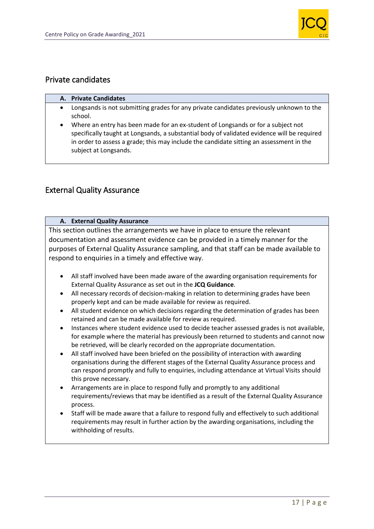![](_page_17_Picture_1.jpeg)

### Private candidates

### **A. Private Candidates**

- Longsands is not submitting grades for any private candidates previously unknown to the school.
- Where an entry has been made for an ex-student of Longsands or for a subject not specifically taught at Longsands, a substantial body of validated evidence will be required in order to assess a grade; this may include the candidate sitting an assessment in the subject at Longsands.

# External Quality Assurance

### **A. External Quality Assurance**

This section outlines the arrangements we have in place to ensure the relevant documentation and assessment evidence can be provided in a timely manner for the purposes of External Quality Assurance sampling, and that staff can be made available to respond to enquiries in a timely and effective way.

- All staff involved have been made aware of the awarding organisation requirements for External Quality Assurance as set out in the **JCQ Guidance**.
- All necessary records of decision-making in relation to determining grades have been properly kept and can be made available for review as required.
- All student evidence on which decisions regarding the determination of grades has been retained and can be made available for review as required.
- Instances where student evidence used to decide teacher assessed grades is not available, for example where the material has previously been returned to students and cannot now be retrieved, will be clearly recorded on the appropriate documentation.
- All staff involved have been briefed on the possibility of interaction with awarding organisations during the different stages of the External Quality Assurance process and can respond promptly and fully to enquiries, including attendance at Virtual Visits should this prove necessary.
- Arrangements are in place to respond fully and promptly to any additional requirements/reviews that may be identified as a result of the External Quality Assurance process.
- Staff will be made aware that a failure to respond fully and effectively to such additional requirements may result in further action by the awarding organisations, including the withholding of results.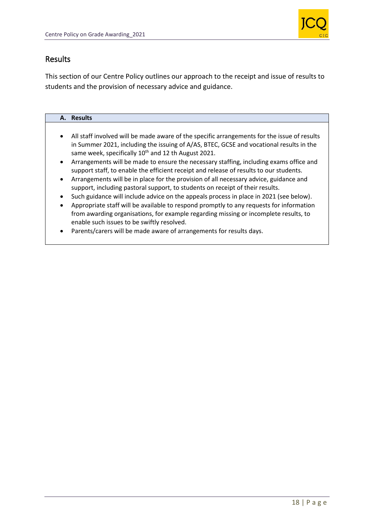![](_page_18_Picture_1.jpeg)

### Results

This section of our Centre Policy outlines our approach to the receipt and issue of results to students and the provision of necessary advice and guidance.

#### **A. Results**

- All staff involved will be made aware of the specific arrangements for the issue of results in Summer 2021, including the issuing of A/AS, BTEC, GCSE and vocational results in the same week, specifically  $10^{th}$  and 12 th August 2021.
- Arrangements will be made to ensure the necessary staffing, including exams office and support staff, to enable the efficient receipt and release of results to our students.
- Arrangements will be in place for the provision of all necessary advice, guidance and support, including pastoral support, to students on receipt of their results.
- Such guidance will include advice on the appeals process in place in 2021 (see below).
- Appropriate staff will be available to respond promptly to any requests for information from awarding organisations, for example regarding missing or incomplete results, to enable such issues to be swiftly resolved.
- Parents/carers will be made aware of arrangements for results days.